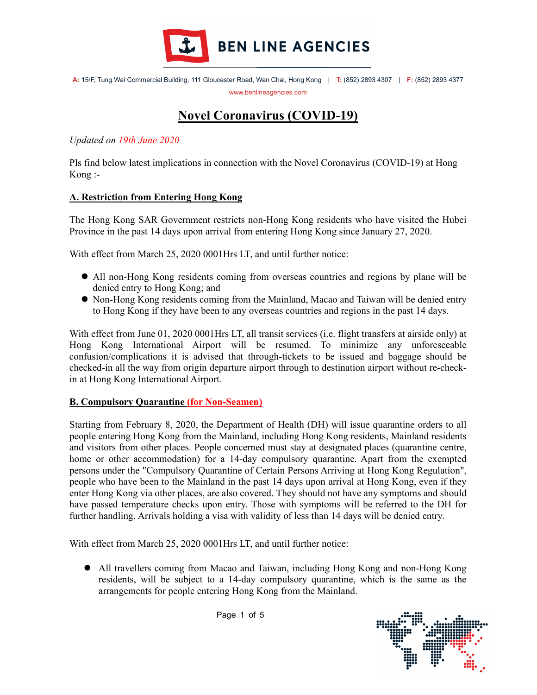

# Novel Coronavirus (COVID-19)

Updated on 19th June 2020

I

Pls find below latest implications in connection with the Novel Coronavirus (COVID-19) at Hong Kong :-

## A. Restriction from Entering Hong Kong

The Hong Kong SAR Government restricts non-Hong Kong residents who have visited the Hubei Province in the past 14 days upon arrival from entering Hong Kong since January 27, 2020.

With effect from March 25, 2020 0001Hrs LT, and until further notice:

- All non-Hong Kong residents coming from overseas countries and regions by plane will be denied entry to Hong Kong; and
- Non-Hong Kong residents coming from the Mainland, Macao and Taiwan will be denied entry to Hong Kong if they have been to any overseas countries and regions in the past 14 days.

With effect from June 01, 2020 0001Hrs LT, all transit services (i.e. flight transfers at airside only) at Hong Kong International Airport will be resumed. To minimize any unforeseeable confusion/complications it is advised that through-tickets to be issued and baggage should be checked-in all the way from origin departure airport through to destination airport without re-checkin at Hong Kong International Airport.

### B. Compulsory Quarantine (for Non-Seamen) I

Starting from February 8, 2020, the Department of Health (DH) will issue quarantine orders to all people entering Hong Kong from the Mainland, including Hong Kong residents, Mainland residents and visitors from other places. People concerned must stay at designated places (quarantine centre, home or other accommodation) for a 14-day compulsory quarantine. Apart from the exempted persons under the "Compulsory Quarantine of Certain Persons Arriving at Hong Kong Regulation", people who have been to the Mainland in the past 14 days upon arrival at Hong Kong, even if they enter Hong Kong via other places, are also covered. They should not have any symptoms and should have passed temperature checks upon entry. Those with symptoms will be referred to the DH for further handling. Arrivals holding a visa with validity of less than 14 days will be denied entry.

With effect from March 25, 2020 0001Hrs LT, and until further notice:

 All travellers coming from Macao and Taiwan, including Hong Kong and non-Hong Kong residents, will be subject to a 14-day compulsory quarantine, which is the same as the arrangements for people entering Hong Kong from the Mainland.

Page 1 of 5

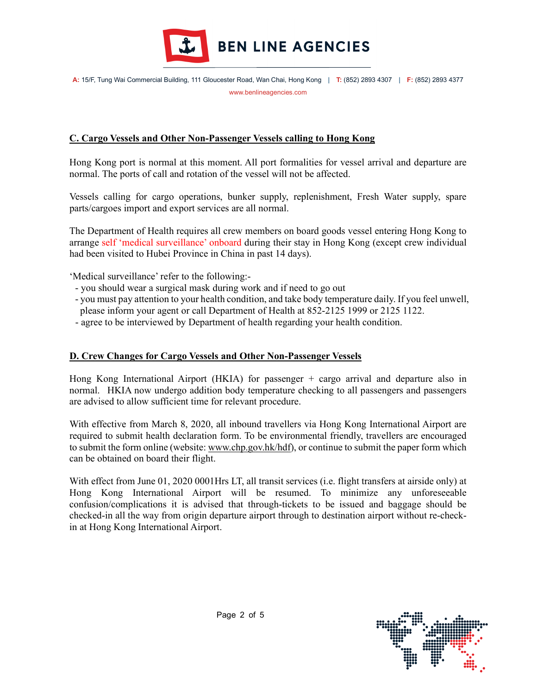

## C. Cargo Vessels and Other Non-Passenger Vessels calling to Hong Kong

Hong Kong port is normal at this moment. All port formalities for vessel arrival and departure are normal. The ports of call and rotation of the vessel will not be affected.

Vessels calling for cargo operations, bunker supply, replenishment, Fresh Water supply, spare parts/cargoes import and export services are all normal.

The Department of Health requires all crew members on board goods vessel entering Hong Kong to arrange self 'medical surveillance' onboard during their stay in Hong Kong (except crew individual had been visited to Hubei Province in China in past 14 days).

'Medical surveillance' refer to the following:-

- you should wear a surgical mask during work and if need to go out
- you must pay attention to your health condition, and take body temperature daily. If you feel unwell, please inform your agent or call Department of Health at 852-2125 1999 or 2125 1122.
- agree to be interviewed by Department of health regarding your health condition.

### D. Crew Changes for Cargo Vessels and Other Non-Passenger Vessels I

Hong Kong International Airport (HKIA) for passenger + cargo arrival and departure also in normal. HKIA now undergo addition body temperature checking to all passengers and passengers are advised to allow sufficient time for relevant procedure.

With effective from March 8, 2020, all inbound travellers via Hong Kong International Airport are required to submit health declaration form. To be environmental friendly, travellers are encouraged to submit the form online (website: www.chp.gov.hk/hdf), or continue to submit the paper form which can be obtained on board their flight.

With effect from June 01, 2020 0001Hrs LT, all transit services (i.e. flight transfers at airside only) at Hong Kong International Airport will be resumed. To minimize any unforeseeable confusion/complications it is advised that through-tickets to be issued and baggage should be checked-in all the way from origin departure airport through to destination airport without re-checkin at Hong Kong International Airport.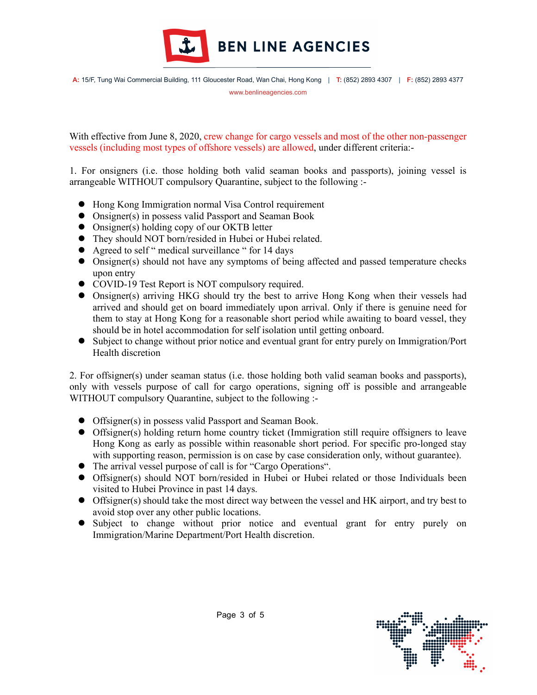

With effective from June 8, 2020, crew change for cargo vessels and most of the other non-passenger vessels (including most types of offshore vessels) are allowed, under different criteria:-

1. For onsigners (i.e. those holding both valid seaman books and passports), joining vessel is arrangeable WITHOUT compulsory Quarantine, subject to the following :-

- Hong Kong Immigration normal Visa Control requirement
- Onsigner(s) in possess valid Passport and Seaman Book
- Onsigner(s) holding copy of our OKTB letter
- They should NOT born/resided in Hubei or Hubei related.
- Agreed to self " medical surveillance " for 14 days
- Onsigner(s) should not have any symptoms of being affected and passed temperature checks upon entry
- COVID-19 Test Report is NOT compulsory required.
- Onsigner(s) arriving HKG should try the best to arrive Hong Kong when their vessels had arrived and should get on board immediately upon arrival. Only if there is genuine need for them to stay at Hong Kong for a reasonable short period while awaiting to board vessel, they should be in hotel accommodation for self isolation until getting onboard.
- Subject to change without prior notice and eventual grant for entry purely on Immigration/Port Health discretion

2. For offsigner(s) under seaman status (i.e. those holding both valid seaman books and passports), only with vessels purpose of call for cargo operations, signing off is possible and arrangeable WITHOUT compulsory Quarantine, subject to the following :-

- Offsigner(s) in possess valid Passport and Seaman Book.
- Offsigner(s) holding return home country ticket (Immigration still require offsigners to leave Hong Kong as early as possible within reasonable short period. For specific pro-longed stay with supporting reason, permission is on case by case consideration only, without guarantee).
- The arrival vessel purpose of call is for "Cargo Operations".
- Offsigner(s) should NOT born/resided in Hubei or Hubei related or those Individuals been visited to Hubei Province in past 14 days.
- Offsigner(s) should take the most direct way between the vessel and HK airport, and try best to avoid stop over any other public locations.
- Subject to change without prior notice and eventual grant for entry purely on Immigration/Marine Department/Port Health discretion.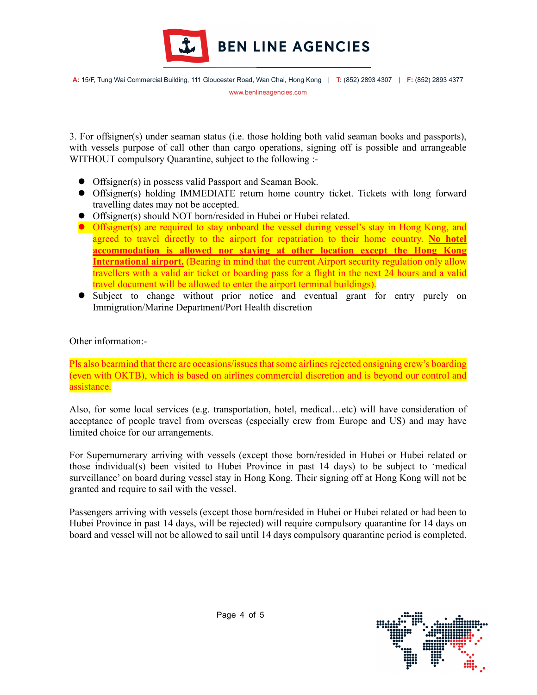

3. For offsigner(s) under seaman status (i.e. those holding both valid seaman books and passports), with vessels purpose of call other than cargo operations, signing off is possible and arrangeable WITHOUT compulsory Quarantine, subject to the following :-

- Offsigner(s) in possess valid Passport and Seaman Book.
- Offsigner(s) holding IMMEDIATE return home country ticket. Tickets with long forward travelling dates may not be accepted.
- Offsigner(s) should NOT born/resided in Hubei or Hubei related.
- Offsigner(s) are required to stay onboard the vessel during vessel's stay in Hong Kong, and agreed to travel directly to the airport for repatriation to their home country. No hotel accommodation is allowed nor staying at other location except the Hong Kong International airport. (Bearing in mind that the current Airport security regulation only allow travellers with a valid air ticket or boarding pass for a flight in the next 24 hours and a valid travel document will be allowed to enter the airport terminal buildings).
- Subject to change without prior notice and eventual grant for entry purely on Immigration/Marine Department/Port Health discretion

Other information:-

Pls also bearmind that there are occasions/issues that some airlines rejected onsigning crew's boarding (even with OKTB), which is based on airlines commercial discretion and is beyond our control and assistance.

Also, for some local services (e.g. transportation, hotel, medical…etc) will have consideration of acceptance of people travel from overseas (especially crew from Europe and US) and may have limited choice for our arrangements.

For Supernumerary arriving with vessels (except those born/resided in Hubei or Hubei related or those individual(s) been visited to Hubei Province in past 14 days) to be subject to 'medical surveillance' on board during vessel stay in Hong Kong. Their signing off at Hong Kong will not be granted and require to sail with the vessel.

Passengers arriving with vessels (except those born/resided in Hubei or Hubei related or had been to Hubei Province in past 14 days, will be rejected) will require compulsory quarantine for 14 days on board and vessel will not be allowed to sail until 14 days compulsory quarantine period is completed.